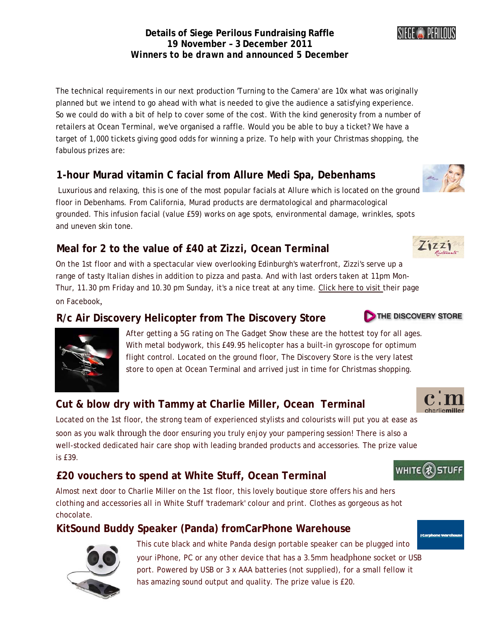#### **Details of Siege Perilous Fundraising Raffle 19 November – 3 December 2011**  *Winners to be drawn and announced 5 December*

The technical requirements in our next production 'Turning to the Camera' are 10x what was originally planned but we intend to go ahead with what is needed to give the audience a satisfying experience. So we could do with a bit of help to cover some of the cost. With the kind generosity from a number of retailers at Ocean Terminal, we've organised a raffle. Would you be able to buy a ticket? We have a target of 1,000 tickets giving good odds for winning a prize. To help with your Christmas shopping, the fabulous prizes are:

### **1-hour Murad vitamin C facial from Allure Medi Spa, Debenhams**

 Luxurious and relaxing, this is one of the most popular facials at Allure which is located on the ground floor in Debenhams. From California, Murad products are dermatological and pharmacological grounded. This infusion facial (value £59) works on age spots, environmental damage, wrinkles, spots and uneven skin tone.

# **Meal for 2 to the value of £40 at Zizzi, Ocean Terminal**

On the 1st floor and with a spectacular view overlooking Edinburgh's waterfront, Zizzi's serve up a range of tasty Italian dishes in addition to pizza and pasta. And with last orders taken at 11pm Mon-Thur, 11.30 pm Friday and 10.30 pm Sunday, it's a nice treat at any time. [Click here to visit t](http://www.facebook.com/wearezizzi)heir page on Facebook,

#### **R/c Air Discovery Helicopter from The Discovery Store**

After getting a 5G rating on The Gadget Show these are the hotte[st toy for all ages.](http://www.thediscoverystore.co.uk/)  With metal bodywork, this £49.95 helicopter has a built-in gyroscope for optimum flight control. Located on the ground floor, The Discovery Store is the very latest store to open at Ocean Terminal and arrived just in time for Christmas shopping.

# **Cut & blow dry with Tammy at Charlie Miller, Ocean Terminal**

Located on the 1st floor, the strong team of experienced stylists and colourists will put you at ease as soon as you walk through the door ensuring you truly enjoy your pampering session! There is also a well-stocked dedicated hair care shop with leading branded products and accessories. The prize value is £39.

# **£20 vouchers to spend at White Stuff, Ocean Terminal**

Almost next door to Charlie Miller on the 1st floor, this lovely boutique store offers his and hers clothing and accessories all in White Stuff 'trademark' colour and print. Clothes as gorgeous as hot chocolate.

#### **KitSound Buddy Speaker (Panda) fromCarPhone Warehouse**









WHITE (x) STU